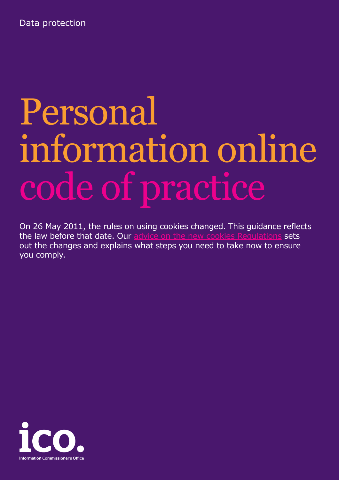Data protection

# Personal information online code of practice

On 26 May 2011, the rules on using cookies changed. This guidance reflects the law before that date. Our [advice on the new cookies Regulations](http://www.ico.gov.uk/~/media/documents/library/Privacy_and_electronic/Practical_application/advice_on_the_new_cookies_regulations.pdf) sets out the changes and explains what steps you need to take now to ensure you comply.

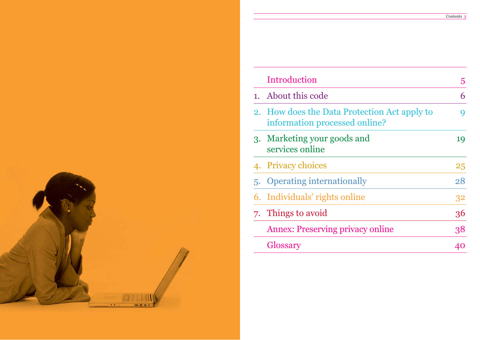

## Introduction

- 1. About this code
- 2. How does the Data Protection information processed on
- 3. Marketing your goods an services online
- 4. Privacy choices
- 5. Operating internationally
- 6. Individuals' rights online
- 7. Things to avoid
	- Annex: Preserving privacy
	- Glossary

|                               | 5  |
|-------------------------------|----|
|                               | 6  |
| ection Act apply to<br>nline? | 9  |
| ıd                            | 19 |
|                               | 25 |
| ÿ                             | 28 |
| $\mathbf{S}$                  | 32 |
|                               | 36 |
| y online                      | 38 |
|                               | 40 |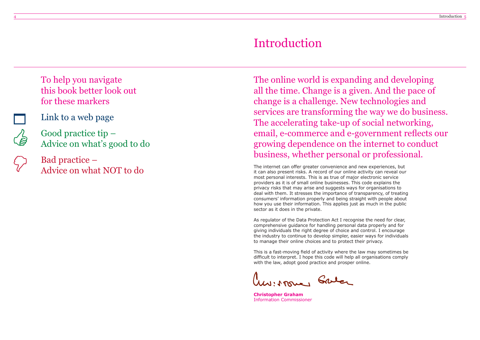The internet can offer greater convenience and new experiences, but it can also present risks. A record of our online activity can reveal our most personal interests. This is as true of major electronic service providers as it is of small online businesses. This code explains the privacy risks that may arise and suggests ways for organisations to deal with them. It stresses the importance of transparency, of treating consumers' information properly and being straight with people about how you use their information. This applies just as much in the public sector as it does in the private.

As regulator of the Data Protection Act I recognise the need for clear, comprehensive guidance for handling personal data properly and for giving individuals the right degree of choice and control. I encourage the industry to continue to develop simpler, easier ways for individuals to manage their online choices and to protect their privacy.

This is a fast-moving field of activity where the law may sometimes be difficult to interpret. I hope this code will help all organisations comply with the law, adopt good practice and prosper online.

W: Mone, Galer

**Christopher Graham** Information Commissioner

## Introduction

The online world is expanding and developing all the time. Change is a given. And the pace of change is a challenge. New technologies and services are transforming the way we do business. The accelerating take-up of social networking, email, e-commerce and e-government reflects our growing dependence on the internet to conduct business, whether personal or professional.

To help you navigate this book better look out for these markers



Link to a web page

Good practice tip – Advice on what's good to do

Bad practice – Advice on what NOT to do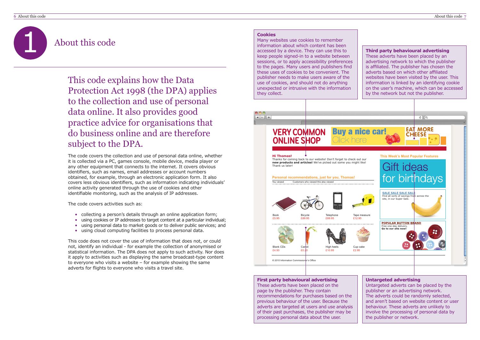1

## About this code



**Third party behavioural advertising**  These adverts have been placed by an advertising network to which the publisher is affiliated. The publisher has chosen the adverts based on which other affiliated websites have been visited by the user. This information is linked by an identifying cookie on the user's machine, which can be accessed by the network but not the publisher.

## **Untargeted advertising**

Untargeted adverts can be placed by the publisher or an advertising network. The adverts could be randomly selected, and aren't based on website content or user behaviour. These adverts are unlikely to involve the processing of personal data by the publisher or network.

## **First party behavioural advertising**

- collecting a person's details through an online application form;
- •using cookies or IP addresses to target content at a particular individual;
- using personal data to market goods or to deliver public services; and
- using cloud computing facilities to process personal data.

These adverts have been placed on the page by the publisher. They contain recommendations for purchases based on the previous behaviour of the user. Because the adverts are targeted at users and use analysis of their past purchases, the publisher may be processing personal data about the user.

### **Cookies**

Many websites use cookies to remember information about which content has been accessed by a device. They can use this to keep people signed-in to a website between sessions, or to apply accessibility preferences to the pages. Many users and publishers find these uses of cookies to be convenient. The publisher needs to make users aware of the use of cookies, and should not do anything unexpected or intrusive with the information they collect.

The code covers the collection and use of personal data online, whether it is collected via a PC, games console, mobile device, media player or any other equipment that connects to the internet. It covers obvious identifiers, such as names, email addresses or account numbers obtained, for example, through an electronic application form. It also covers less obvious identifiers, such as information indicating individuals' online activity generated through the use of cookies and other identifiable monitoring, such as the analysis of IP addresses.

The code covers activities such as:

This code does not cover the use of information that does not, or could not, identify an individual - for example the collection of anonymised or statistical information. The DPA does not apply to such activity. Nor does it apply to activities such as displaying the same broadcast-type content to everyone who visits a website – for example showing the same adverts for flights to everyone who visits a travel site.

This code explains how the Data Protection Act 1998 (the DPA) applies to the collection and use of personal data online. It also provides good practice advice for organisations that do business online and are therefore subject to the DPA.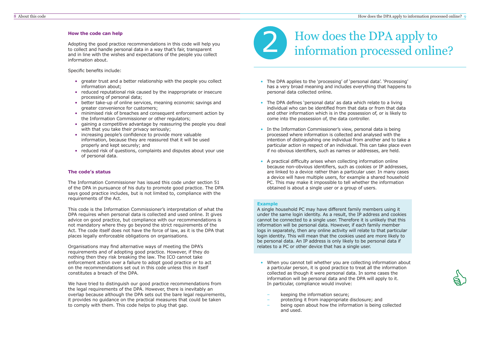# How does the DPA apply to





information about.

### Specific benefits include:

- greater trust and a better relationship with the people you collect information about;
- reduced reputational risk caused by the inappropriate or insecure processing of personal data;
- better take-up of online services, meaning economic savings and greater convenience for customers;
- minimised risk of breaches and consequent enforcement action by the Information Commissioner or other regulators;
- gaining a competitive advantage by reassuring the people you deal with that you take their privacy seriously;
- increasing people's confidence to provide more valuable information, because they are reassured that it will be used properly and kept securely; and
- reduced risk of questions, complaints and disputes about your use of personal data.

## **The code's status**

The Information Commissioner has issued this code under section 51 of the DPA in pursuance of his duty to promote good practice. The DPA says good practice includes, but is not limited to, compliance with the requirements of the Act.

This code is the Information Commissioner's interpretation of what the DPA requires when personal data is collected and used online. It gives advice on good practice, but compliance with our recommendations is not mandatory where they go beyond the strict requirements of the Act. The code itself does not have the force of law, as it is the DPA that places legally enforceable obligations on organisations.

Organisations may find alternative ways of meeting the DPA's requirements and of adopting good practice. However, if they do nothing then they risk breaking the law. The ICO cannot take enforcement action over a failure to adopt good practice or to act on the recommendations set out in this code unless this in itself constitutes a breach of the DPA.

- When you cannot tell whether you are collecting information about a particular person, it is good practice to treat all the information collected as though it were personal data. In some cases the information will be personal data and the DPA will apply to it. In particular, compliance would involve:
	- keeping the information secure;
	- protecting it from inappropriate disclosure; and
- – being open about how the information is being collected and used.

We have tried to distinguish our good practice recommendations from the legal requirements of the DPA. However, there is inevitably an overlap because although the DPA sets out the bare legal requirements, it provides no guidance on the practical measures that could be taken to comply with them. This code helps to plug that gap.

- The DPA applies to the 'processing' of 'personal data'. 'Processing' has a very broad meaning and includes everything that happens to personal data collected online.
- The DPA defines 'personal data' as data which relate to a living individual who can be identified from that data or from that data and other information which is in the possession of, or is likely to come into the possession of, the data controller.
- In the Information Commissioner's view, personal data is being processed where information is collected and analysed with the intention of distinguishing one individual from another and to take a particular action in respect of an individual. This can take place even if no obvious identifiers, such as names or addresses, are held.
- A practical difficulty arises when collecting information online because non-obvious identifiers, such as cookies or IP addresses, are linked to a device rather than a particular user. In many cases a device will have multiple users, for example a shared household PC. This may make it impossible to tell whether the information obtained is about a single user or a group of users.

### **Example**

A single household PC may have different family members using it under the same login identity. As a result, the IP address and cookies cannot be connected to a single user. Therefore it is unlikely that this information will be personal data. However, if each family member logs in separately, then any online activity will relate to that particular login identity. This will mean that the cookies used are more likely to be personal data. An IP address is only likely to be personal data if relates to a PC or other device that has a single user.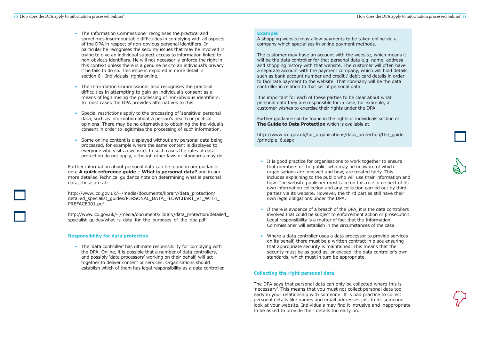- The Information Commissioner recognises the practical and sometimes insurmountable difficulties in complying with all aspects of the DPA in respect of non-obvious personal identifiers. In particular he recognises the security issues that may be involved in trying to give an individual subject access to information linked to non-obvious identifiers. He will not necessarily enforce the right in this context unless there is a genuine risk to an individual's privacy if he fails to do so. This issue is explored in more detail in section 6 - Individuals' rights online.
- • The Information Commissioner also recognises the practical difficulties in attempting to gain an individual's consent as a means of legitimising the processing of non-obvious identifiers. In most cases the DPA provides alternatives to this.
- • Special restrictions apply to the processing of 'sensitive' personal data, such as information about a person's health or political opinions. There may be no alternative to obtaining the individual's consent in order to legitimise the processing of such information.
- • Some online content is displayed without any personal data being processed, for example where the same content is displayed to everyone who visits a website. In such cases the rules of data protection do not apply, although other laws or standards may do.

http://www.ico.gov.uk/~/media/documents/library/data\_protection/ detailed specialist quides/PERSONAL DATA FLOWCHART V1 WITH PREFACE001.pdf

http://www.ico.gov.uk/~/media/documents/library/data\_protection/detailed\_ specialist quides/what is data for the purposes of the dpa.pdf

• The 'data controller' has ultimate responsibility for complying with the DPA. Online, it is possible that a number of data controllers, and possibly 'data processors' working on their behalf, will act together to deliver content or services. Organisations should establish which of them has legal responsibility as a data controller.

Further information about personal data can be found in our guidance note **A quick reference guide – What is personal data?** and in our more detailed Technical guidance note on determining what is personal data, these are at:

## **Responsibility for data protection**

## **Example**

A shopping website may allow payments to be taken online via a company which specialises in online payment methods.

The customer may have an account with the website, which means it will be the data controller for that personal data e.g. name, address and shopping history with that website. The customer will often have a separate account with the payment company, which will hold details such as bank account number and credit / debit card details in order to facilitate payment to the website. That company will be the data controller in relation to that set of personal data.

It is important for each of these parties to be clear about what personal data they are responsible for in case, for example, a customer wishes to exercise their rights under the DPA.

Further guidance can be found in the rights of individuals section of **The Guide to Data Protection** which is available at:

http://www.ico.gov.uk/[for\\_organisations/data\\_protection/the\\_guide](http://www.ico.gov.uk/for_organisations/data_protection/the_guide/principle_6.aspx) /principle\_6.aspx

- It is good practice for organisations to work together to ensure that members of the public, who may be unaware of which organisations are involved and how, are treated fairly. This includes explaining to the public who will use their information and how. The website publisher must take on this role in respect of its own information collection and any collection carried out by third parties via its website. However, the third parties still have their own legal obligations under the DPA.
- • If there is evidence of a breach of the DPA, it is the data controllers involved that could be subject to enforcement action or prosecution. Legal responsibility is a matter of fact that the Information Commissioner will establish in the circumstances of the case.
- Where a data controller uses a data processor to provide services on its behalf, there must be a written contract in place ensuring that appropriate security is maintained. This means that the security must be as good as, or exceed, the data controller's own standards, which must in turn be appropriate.

## **Collecting the right personal data**

The DPA says that personal data can only be collected where this is 'necessary'. This means that you must not collect personal data too early in your relationship with someone. It is bad practice to collect personal details like names and email addresses just to let someone look at your website. Individuals may find it intrusive and inappropriate to be asked to provide their details too early on.



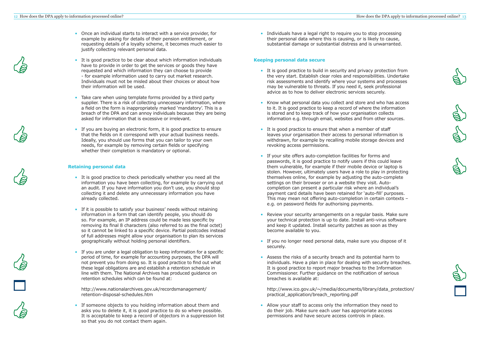- Once an individual starts to interact with a service provider, for example by asking for details of their pension entitlement, or requesting details of a loyalty scheme, it becomes much easier to justify collecting relevant personal data.
- It is good practice to be clear about which information individuals have to provide in order to get the services or goods they have requested and which information they can choose to provide - for example information used to carry out market research. Individuals must not be misled about their choices or about how their information will be used.
- • Take care when using template forms provided by a third party supplier. There is a risk of collecting unnecessary information, where a field on the form is inappropriately marked 'mandatory'. This is a breach of the DPA and can annoy individuals because they are being asked for information that is excessive or irrelevant.
- If you are buying an electronic form, it is good practice to ensure that the fields on it correspond with your actual business needs. Ideally, you should use forms that you can tailor to your own needs, for example by removing certain fields or specifying whether their completion is mandatory or optional.

## **Retaining personal data**

• Individuals have a legal right to require you to stop processing their personal data where this is causing, or is likely to cause, substantial damage or substantial distress and is unwarranted.

- It is good practice to check periodically whether you need all the information you have been collecting, for example by carrying out an audit. If you have information you don't use, you should stop collecting it and delete any unnecessary information you have already collected.
- If it is possible to satisfy your business' needs without retaining information in a form that can identify people, you should do so. For example, an IP address could be made less specific by removing its final 8 characters (also referred to as the final octet) so it cannot be linked to a specific device. Partial postcodes instead of full addresses might allow your organisation to plan its services geographically without holding personal identifiers.
- If you are under a legal obligation to keep information for a specific period of time, for example for accounting purposes, the DPA will not prevent you from doing so. It is good practice to find out what these legal obligations are and establish a retention schedule in line with them. The National Archives has produced guidance on retention schedules which can be found at:

[http://www.nationalarchives.gov.uk/recordsmanagement/](http://www.nationalarchives.gov.uk/information-management/projects-and-work/retention-disposal-schedules.htm) retention-disposal-schedules.htm

• If someone objects to you holding information about them and asks you to delete it, it is good practice to do so where possible. It is acceptable to keep a record of objectors in a suppression list so that you do not contact them again.

## **Keeping personal data secure**

- It is good practice to build in security and privacy protection from the very start. Establish clear roles and responsibilities. Undertake risk assessments and identify where your systems and processes may be vulnerable to threats. If you need it, seek professional advice as to how to deliver electronic services securely.
- Know what personal data you collect and store and who has access to it. It is good practice to keep a record of where the information is stored and to keep track of how your organisation collects information e.g. through email, websites and from other sources.
- It is good practice to ensure that when a member of staff leaves your organisation their access to personal information is withdrawn, for example by recalling mobile storage devices and revoking access permissions.
- If your site offers auto-completion facilities for forms and passwords, it is good practice to notify users if this could leave them vulnerable, for example if their mobile device or laptop is stolen. However, ultimately users have a role to play in protecting themselves online, for example by adjusting the auto-complete settings on their browser or on a website they visit. Autocompletion can present a particular risk where an individual's payment card details have been retained for 'auto-fill' purposes. This may mean not offering auto-completion in certain contexts – e.g. on password fields for authorising payments.
- Review your security arrangements on a regular basis. Make sure your technical protection is up to date. Install anti-virus software and keep it updated. Install security patches as soon as they become available to you.
- If you no longer need personal data, make sure you dispose of it securely.
- Assess the risks of a security breach and its potential harm to individuals. Have a plan in place for dealing with security breaches. It is good practice to report major breaches to the Information Commissioner. Further guidance on the notification of serious breaches is available at:

http://www.ico.gov.uk/~/media/documents/library/data\_protection/ [practical\\_application/breach\\_reporting.pdf](http://www.ico.gov.uk/~/media/documents/library/data_protection/practical_application/breach_reporting.pdf)

• Allow your staff to access only the information they need to do their job. Make sure each user has appropriate access permissions and have secure access controls in place.

















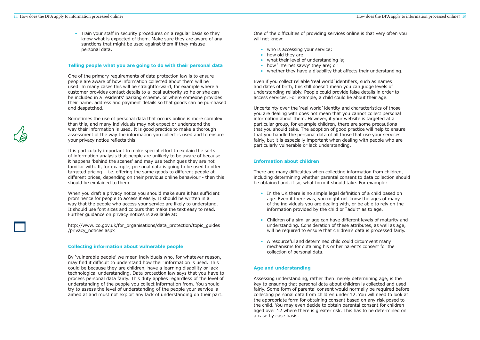• Train your staff in security procedures on a regular basis so they know what is expected of them. Make sure they are aware of any sanctions that might be used against them if they misuse personal data.

### **Telling people what you are going to do with their personal data**

One of the primary requirements of data protection law is to ensure people are aware of how information collected about them will be used. In many cases this will be straightforward, for example where a customer provides contact details to a local authority so he or she can be included in a residents' parking scheme, or where someone provides their name, address and payment details so that goods can be purchased and despatched.

Sometimes the use of personal data that occurs online is more complex than this, and many individuals may not expect or understand the way their information is used. It is good practice to make a thorough assessment of the way the information you collect is used and to ensure your privacy notice reflects this.

[http://www.ico.gov.uk/for\\_organisations](http://www.ico.gov.uk/for_organisations/data_protection/topic_guides/privacy_notices.aspx)/data\_protection/topic\_guides /privacy\_notices.aspx

It is particularly important to make special effort to explain the sorts of information analysis that people are unlikely to be aware of because it happens 'behind the scenes' and may use techniques they are not familiar with. If, for example, personal data is going to be used to offer targeted pricing – i.e. offering the same goods to different people at different prices, depending on their previous online behaviour - then this should be explained to them.

When you draft a privacy notice you should make sure it has sufficient prominence for people to access it easily. It should be written in a way that the people who access your service are likely to understand. It should use font sizes and colours that make the text easy to read. Further guidance on privacy notices is available at:

## **Collecting information about vulnerable people**

- In the UK there is no simple legal definition of a child based on age. Even if there was, you might not know the ages of many of the individuals you are dealing with, or be able to rely on the information provided by the child or "adult" as to age.
- Children of a similar age can have different levels of maturity and understanding. Consideration of these attributes, as well as age, will be required to ensure that children's data is processed fairly.
- A resourceful and determined child could circumvent many mechanisms for obtaining his or her parent's consent for the collection of personal data.

By 'vulnerable people' we mean individuals who, for whatever reason, may find it difficult to understand how their information is used. This could be because they are children, have a learning disability or lack technological understanding. Data protection law says that you have to process personal data fairly. This duty applies regardless of the level of understanding of the people you collect information from. You should try to assess the level of understanding of the people your service is aimed at and must not exploit any lack of understanding on their part.

One of the difficulties of providing services online is that very often you will not know:

- who is accessing your service;
	- how old they are;
	- what their level of understanding is;
- how 'internet savvy' they are; or
	- whether they have a disability that affects their understanding.

Even if you collect reliable 'real world' identifiers, such as names and dates of birth, this still doesn't mean you can judge levels of understanding reliably. People could provide false details in order to access services. For example, a child could lie about their age.

Uncertainty over the 'real world' identity and characteristics of those you are dealing with does not mean that you cannot collect personal information about them. However, if your website is targeted at a particular group, for example children, there are some precautions that you should take. The adoption of good practice will help to ensure that you handle the personal data of all those that use your services fairly, but it is especially important when dealing with people who are particularly vulnerable or lack understanding.

## **Information about children**

There are many difficulties when collecting information from children, including determining whether parental consent to data collection should be obtained and, if so, what form it should take. For example:

## **Age and understanding**

Assessing understanding, rather then merely determining age, is the key to ensuring that personal data about children is collected and used fairly. Some form of parental consent would normally be required before collecting personal data from children under 12. You will need to look at the appropriate form for obtaining consent based on any risk posed to the child. You may even decide to obtain parental consent for children aged over 12 where there is greater risk. This has to be determined on a case by case basis.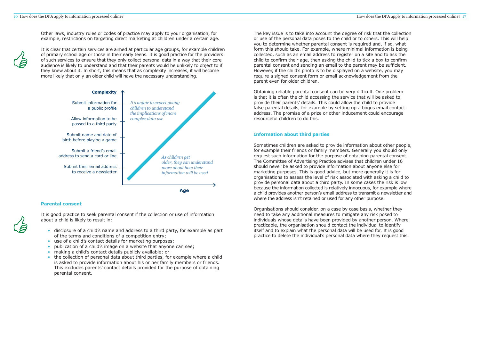Other laws, industry rules or codes of practice may apply to your organisation, for example, restrictions on targeting direct marketing at children under a certain age.

It is clear that certain services are aimed at particular age groups, for example children of primary school age or those in their early teens. It is good practice for the providers of such services to ensure that they only collect personal data in a way that their core audience is likely to understand and that their parents would be unlikely to object to if they knew about it. In short, this means that as complexity increases, it will become more likely that only an older child will have the necessary understanding.

## **Parental consent**

It is good practice to seek parental consent if the collection or use of information about a child is likely to result in:

- disclosure of a child's name and address to a third party, for example as part of the terms and conditions of a competition entry;
- • use of a child's contact details for marketing purposes;
	- •publication of a child's image on a website that anyone can see;
- making a child's contact details publicly available; or
- • the collection of personal data about third parties, for example where a child is asked to provide information about his or her family members or friends. This excludes parents' contact details provided for the purpose of obtaining parental consent.



The key issue is to take into account the degree of risk that the collection or use of the personal data poses to the child or to others. This will help you to determine whether parental consent is required and, if so, what form this should take. For example, where minimal information is being collected, such as an email address to register on a site and to ask the child to confirm their age, then asking the child to tick a box to confirm parental consent and sending an email to the parent may be sufficient. However, if the child's photo is to be displayed on a website, you may require a signed consent form or email acknowledgement from the parent even for older children.

Obtaining reliable parental consent can be very difficult. One problem is that it is often the child accessing the service that will be asked to provide their parents' details. This could allow the child to provide false parental details, for example by setting up a bogus email contact address. The promise of a prize or other inducement could encourage resourceful children to do this.

## **Information about third parties**

Sometimes children are asked to provide information about other people, for example their friends or family members. Generally you should only request such information for the purpose of obtaining parental consent. The Committee of Advertising Practice advises that children under 16 should never be asked to provide information about anyone else for marketing purposes. This is good advice, but more generally it is for organisations to assess the level of risk associated with asking a child to provide personal data about a third party. In some cases the risk is low because the information collected is relatively innocuous, for example where a child provides another person's email address to transmit a newsletter and where the address isn't retained or used for any other purpose.

Organisations should consider, on a case by case basis, whether they need to take any additional measures to mitigate any risk posed to individuals whose details have been provided by another person. Where practicable, the organisation should contact the individual to identify itself and to explain what the personal data will be used for. It is good practice to delete the individual's personal data where they request this.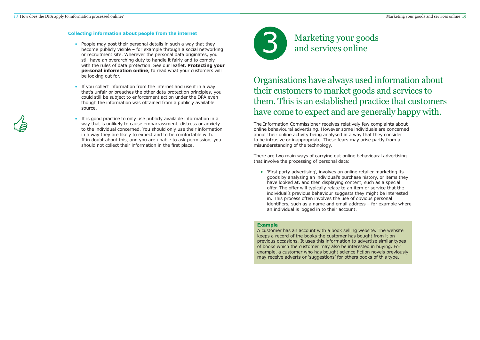Organisations have always used information about their customers to market goods and services to them. This is an established practice that customers have come to expect and are generally happy with.

## **Collecting information about people from the internet**

- People may post their personal details in such a way that they become publicly visible – for example through a social networking or recruitment site. Wherever the personal data originates, you still have an overarching duty to handle it fairly and to comply with the rules of data protection. See our leaflet, **Protecting your personal information online**, to read what your customers will be looking out for.
- • If you collect information from the internet and use it in a way that's unfair or breaches the other data protection principles, you could still be subject to enforcement action under the DPA even though the information was obtained from a publicly available source.
- • It is good practice to only use publicly available information in a way that is unlikely to cause embarrassment, distress or anxiety to the individual concerned. You should only use their information in a way they are likely to expect and to be comfortable with. If in doubt about this, and you are unable to ask permission, you should not collect their information in the first place.



Marketing your goods<br>and services online

The Information Commissioner receives relatively few complaints about online behavioural advertising. However some individuals are concerned about their online activity being analysed in a way that they consider to be intrusive or inappropriate. These fears may arise partly from a misunderstanding of the technology.

There are two main ways of carrying out online behavioural advertising that involve the processing of personal data:

 • 'First party advertising', involves an online retailer marketing its goods by analysing an individual's purchase history, or items they have looked at, and then displaying content, such as a special offer. The offer will typically relate to an item or service that the individual's previous behaviour suggests they might be interested in. This process often involves the use of obvious personal identifiers, such as a name and email address – for example where an individual is logged in to their account.

## **Example**

A customer has an account with a book selling website. The website keeps a record of the books the customer has bought from it on previous occasions. It uses this information to advertise similar types of books which the customer may also be interested in buying. For example, a customer who has bought science fiction novels previously may receive adverts or 'suggestions' for others books of this type.

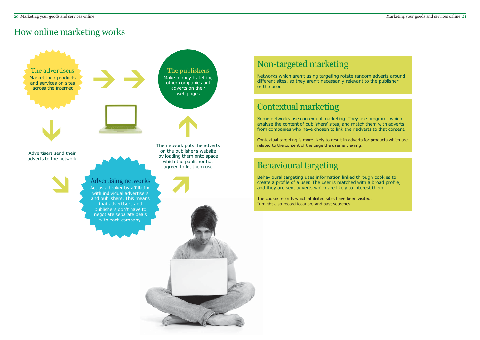## How online marketing works



Behavioural targeting uses information linked through cookies to create a profile of a user. The user is matched with a broad profile, and they are sent adverts which are likely to interest them.

The cookie records which affiliated sites have been visited. It might also record location, and past searches.

## Contextual marketing

Some networks use contextual marketing. They use programs which analyse the content of publishers' sites, and match them with adverts from companies who have chosen to link their adverts to that content.

Contextual targeting is more likely to result in adverts for products which are related to the content of the page the user is viewing.

## Non-targeted marketing

Networks which aren't using targeting rotate random adverts around different sites, so they aren't necessarily relevant to the publisher or the user.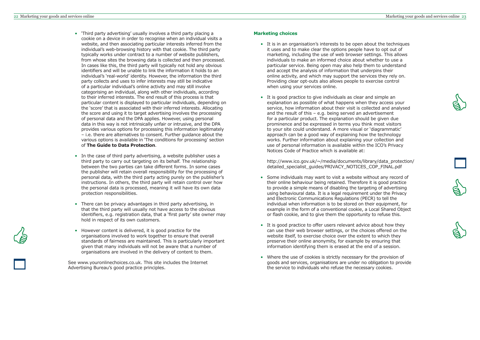- 'Third party advertising' usually involves a third party placing a cookie on a device in order to recognise when an individual visits a website, and then associating particular interests inferred from the individual's web-browsing history with that cookie. The third party typically works under contract to a number of website publishers, from whose sites the browsing data is collected and then processed. In cases like this, the third party will typically not hold any obvious identifiers and will be unable to link the information it holds to an individual's 'real-world' identity. However, the information the third party collects and uses to infer interests may still be indicative of a particular individual's online activity and may still involve categorising an individual, along with other individuals, according to their inferred interests. The end result of this process is that particular content is displayed to particular individuals, depending on the 'score' that is associated with their inferred interests. Allocating the score and using it to target advertising involves the processing of personal data and the DPA applies. However, using personal data in this way is not intrinsically unfair or intrusive, and the DPA provides various options for processing this information legitimately – i.e. there are alternatives to consent. Further guidance about the various options is available in 'The conditions for processing' section of **The Guide to Data Protection**.
- In the case of third party advertising, a website publisher uses a third party to carry out targeting on its behalf. The relationship between the two parties can take different forms. In some cases the publisher will retain overall responsibility for the processing of personal data, with the third party acting purely on the publisher's instructions. In others, the third party will retain control over how the personal data is processed, meaning it will have its own data protection responsibilities.
- There can be privacy advantages in third party advertising, in that the third party will usually not have access to the obvious identifiers, e.g. registration data, that a 'first party' site owner may hold in respect of its own customers.
- However content is delivered, it is good practice for the organisations involved to work together to ensure that overall standards of fairness are maintained. This is particularly important given that many individuals will not be aware that a number of organisations are involved in the delivery of content to them.

See www.youronlinechoices.co.uk. This site includes the Internet Advertising Bureau's good practice principles.

## **Marketing choices**

- It is in an organisation's interests to be open about the techniques it uses and to make clear the options people have to opt out of marketing, including the use of web browser settings. This allows individuals to make an informed choice about whether to use a particular service. Being open may also help them to understand and accept the analysis of information that underpins their online activity, and which may support the services they rely on. Providing clear opt-outs also allows people to exercise control when using your services online.
- It is good practice to give individuals as clear and simple an explanation as possible of what happens when they access your service, how information about their visit is collected and analysed and the result of this – e.g. being served an advertisement for a particular product. The explanation should be given due prominence and be expressed in terms you think most visitors to your site could understand. A more visual or 'diagrammatic' approach can be a good way of explaining how the technology works. Further information about explaining your collection and use of personal information is available within the ICO's Privacy Notices Code of Practice which is available at:

http://www.ico.gov.uk/~/media[/documents/library/data\\_protection/](http://www.ico.gov.uk/~/media/documents/library/data_protection/detailed_specialist_guides/PRIVACY_NOTICES_COP_FINAL.pdf) detailed specialist quides/PRIVACY\_NOTICES\_COP\_FINAL.pdf

- Some individuals may want to visit a website without any record of their online behaviour being retained. Therefore it is good practice to provide a simple means of disabling the targeting of advertising using behavioural data. It is a legal requirement under the Privacy and Electronic Communications Regulations (PECR) to tell the individual when information is to be stored on their equipment, for example in the form of a conventional cookie, a Local Shared Object or flash cookie, and to give them the opportunity to refuse this.
- It is good practice to offer users relevant advice about how they can use their web browser settings, or the choices offered on the website itself, to exercise choice over the extent to which they preserve their online anonymity, for example by ensuring that information identifying them is erased at the end of a session.
- Where the use of cookies is strictly necessary for the provision of goods and services, organisations are under no obligation to provide the service to individuals who refuse the necessary cookies.









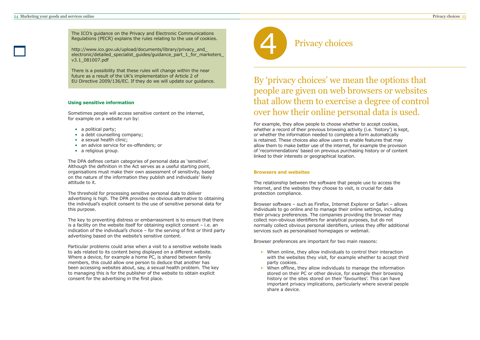

The ICO's guidance on the Privacy and Electronic Communications<br>Regulations (PECR) explains the rules relating to the use of cookies.<br>http://www.ico.gov.uk/upload/documents/library/privacy\_and\_<br>electronic/detailed\_speciali v3.1\_081007.pdf

There is a possibility that these rules will change within the near future as a result of the UK's implementation of Article 2 of EU Directive 2009/136/EC. If they do we will update our guidance.

## **Using sensitive information**

Sometimes people will access sensitive content on the internet, for example on a website run by:

- a political party;
- a debt counselling company;
- a sexual health clinic;
- an advice service for ex-offenders; or
- a religious group.

The DPA defines certain categories of personal data as 'sensitive'. Although the definition in the Act serves as a useful starting point, organisations must make their own assessment of sensitivity, based on the nature of the information they publish and individuals' likely attitude to it.

The threshold for processing sensitive personal data to deliver advertising is high. The DPA provides no obvious alternative to obtaining the individual's explicit consent to the use of sensitive personal data for this purpose.

The key to preventing distress or embarrassment is to ensure that there is a facility on the website itself for obtaining explicit consent – i.e. an indication of the individual's choice – for the serving of first or third party advertising based on the website's sensitive content.

Particular problems could arise when a visit to a sensitive website leads to ads related to its content being displayed on a different website. Where a device, for example a home PC, is shared between family members, this could allow one person to deduce that another has been accessing websites about, say, a sexual health problem. The key to managing this is for the publisher of the website to obtain explicit consent for the advertising in the first place.

By 'privacy choices' we mean the options that people are given on web browsers or websites that allow them to exercise a degree of control over how their online personal data is used.

For example, they allow people to choose whether to accept cookies, whether a record of their previous browsing activity (i.e. 'history') is kept, or whether the information needed to complete a form automatically is retained. These choices also allow users to enable features that may allow them to make better use of the internet, for example the provision of 'recommendations' based on previous purchasing history or of content linked to their interests or geographical location.

## **Browsers and websites**

The relationship between the software that people use to access the internet, and the websites they choose to visit, is crucial for data protection compliance.

Browser software – such as Firefox, Internet Explorer or Safari – allows individuals to go online and to manage their online settings, including their privacy preferences. The companies providing the browser may collect non-obvious identifiers for analytical purposes, but do not normally collect obvious personal identifiers, unless they offer additional services such as personalised homepages or webmail.

Browser preferences are important for two main reasons:

- When online, they allow individuals to control their interaction with the websites they visit, for example whether to accept third party cookies.
- • When offline, they allow individuals to manage the information stored on their PC or other device, for example their browsing history or the sites stored on their 'favourites'. This can have important privacy implications, particularly where several people share a device.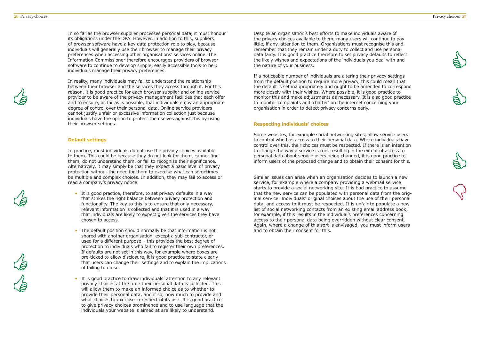In so far as the browser supplier processes personal data, it must honour its obligations under the DPA. However, in addition to this, suppliers of browser software have a key data protection role to play, because individuals will generally use their browser to manage their privacy preferences when accessing other organisations' services online. The Information Commissioner therefore encourages providers of browser software to continue to develop simple, easily accessible tools to help individuals manage their privacy preferences.

In reality, many individuals may fail to understand the relationship between their browser and the services they access through it. For this reason, it is good practice for each browser supplier and online service provider to be aware of the privacy management facilities that each offer and to ensure, as far as is possible, that individuals enjoy an appropriate degree of control over their personal data. Online service providers cannot justify unfair or excessive information collection just because individuals have the option to protect themselves against this by using their browser settings.

### **Default settings**

In practice, most individuals do not use the privacy choices available to them. This could be because they do not look for them, cannot find them, do not understand them, or fail to recognise their significance. Alternatively, it may simply be that they expect a basic level of privacy protection without the need for them to exercise what can sometimes be multiple and complex choices. In addition, they may fail to access or read a company's privacy notice.

- It is good practice, therefore, to set privacy defaults in a way that strikes the right balance between privacy protection and functionality. The key to this is to ensure that only necessary, relevant information is collected and that it is used in a way that individuals are likely to expect given the services they have chosen to access.
- The default position should normally be that information is not shared with another organisation, except a sub-contractor, or used for a different purpose – this provides the best degree of protection to individuals who fail to register their own preferences. If defaults are not set in this way, for example where boxes are pre-ticked to allow disclosure, it is good practice to state clearly that users can change their settings and to explain the implications of failing to do so.
- It is good practice to draw individuals' attention to any relevant privacy choices at the time their personal data is collected. This will allow them to make an informed choice as to whether to provide their personal data, and if so, how much to provide and what choices to exercise in respect of its use. It is good practice to give privacy choices prominence and to use language that the individuals your website is aimed at are likely to understand.

Despite an organisation's best efforts to make individuals aware of the privacy choices available to them, many users will continue to pay little, if any, attention to them. Organisations must recognise this and remember that they remain under a duty to collect and use personal data fairly. It is good practice therefore to set privacy defaults to reflect the likely wishes and expectations of the individuals you deal with and the nature of your business.

If a noticeable number of individuals are altering their privacy settings from the default position to require more privacy, this could mean that the default is set inappropriately and ought to be amended to correspond more closely with their wishes. Where possible, it is good practice to monitor this and make adjustments as necessary. It is also good practice to monitor complaints and 'chatter' on the internet concerning your organisation in order to detect privacy concerns early.

## **Respecting individuals' choices**

Some websites, for example social networking sites, allow service users to control who has access to their personal data. Where individuals have control over this, their choices must be respected. If there is an intention to change the way a service is run, resulting in the extent of access to personal data about service users being changed, it is good practice to inform users of the proposed change and to obtain their consent for this.

Similar issues can arise when an organisation decides to launch a new service, for example where a company providing a webmail service starts to provide a social networking site. It is bad practice to assume that the new service can be populated with personal data from the original service. Individuals' original choices about the use of their personal data, and access to it must be respected. It is unfair to populate a new list of social networking contacts from an existing email address book, for example, if this results in the individual's preferences concerning access to their personal data being overridden without clear consent. Again, where a change of this sort is envisaged, you must inform users and to obtain their consent for this.









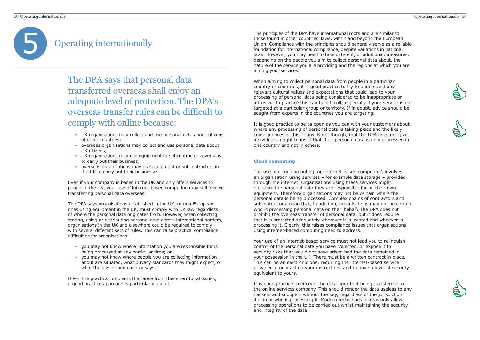## 28 Operating internationally Operating internationally 29







# 5 Operating internationally

The DPA says that personal data transferred overseas shall enjoy an adequate level of protection. The DPA's overseas transfer rules can be difficult to comply with online because:

- UK organisations may collect and use personal data about citizens of other countries;
- overseas organisations may collect and use personal data about UK citizens;
- UK organisations may use equipment or subcontractors overseas to carry out their business;
- overseas organisations may use equipment or subcontractors in the UK to carry out their businesses.

Even if your company is based in the UK and only offers services to people in the UK, your use of internet-based computing may still involve transferring personal data overseas.

The DPA says organisations established in the UK, or non-European ones using equipment in the UK, must comply with UK law regardless of where the personal data originates from. However, when collecting, storing, using or distributing personal data across international borders, organisations in the UK and elsewhere could be required to comply with several different sets of rules. This can raise practical compliance difficulties for organisations:

- you may not know where information you are responsible for is being processed at any particular time; or
- you may not know where people you are collecting information about are situated, what privacy standards they might expect, or what the law in their country says.

Given the practical problems that arise from these territorial issues, a good practice approach is particularly useful.

The principles of the DPA have international roots and are similar to those found in other countries' laws, within and beyond the European Union. Compliance with the principles should generally serve as a reliable foundation for international compliance, despite variations in national laws. However, you may need to take different, or additional, measures, depending on the people you aim to collect personal data about, the nature of the service you are providing and the regions at which you are aiming your services.

When aiming to collect personal data from people in a particular country or countries, it is good practice to try to understand any relevant cultural values and expectations that could lead to your processing of personal data being considered to be inappropriate or intrusive. In practice this can be difficult, especially if your service is not targeted at a particular group or territory. If in doubt, advice should be sought from experts in the countries you are targeting.

It is good practice to be as open as you can with your customers about where any processing of personal data is taking place and the likely consequences of this, if any. Note, though, that the DPA does not give individuals a right to insist that their personal data is only processed in one country and not in others.

## **Cloud computing**

The use of cloud computing, or 'internet-based computing', involves an organisation using services – for example data storage – provided through the internet. Organisations using these services might not store the personal data they are responsible for on their own equipment. Therefore organisations may not be certain where the personal data is being processed. Complex chains of contractors and subcontractors mean that, in addition, organisations may not be certain who is processing personal data on their behalf. The DPA does not prohibit the overseas transfer of personal data, but it does require that it is protected adequately wherever it is located and whoever is processing it. Clearly, this raises compliance issues that organisations using internet-based computing need to address.

Your use of an internet-based service must not lead you to relinquish control of the personal data you have collected, or expose it to security risks that would not have arisen had the data remained in your possession in the UK. There must be a written contract in place. This can be an electronic one, requiring the internet-based service provider to only act on your instructions and to have a level of security equivalent to yours.

It is good practice to encrypt the data prior to it being transferred to the online services company. This should render the data useless to any hackers and snoopers without the key, regardless of the jurisdiction it is in or who is processing it. Modern techniques increasingly allow processing operations to be carried out whilst maintaining the security and integrity of the data.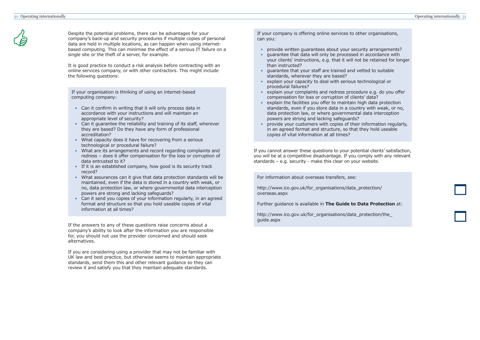Despite the potential problems, there can be advantages for your company's back-up and security procedures if multiple copies of personal data are held in multiple locations, as can happen when using internetbased computing. This can minimise the effect of a serious IT failure on a single site or the theft of a server, for example.

It is good practice to conduct a risk analysis before contracting with an online services company, or with other contractors. This might include the following questions:

If your organisation is thinking of using an internet-based computing company:

- Can it confirm in writing that it will only process data in accordance with your instructions and will maintain an appropriate level of security?
- Can it guarantee the reliability and training of its staff, wherever they are based? Do they have any form of professional accreditation?
- What capacity does it have for recovering from a serious technological or procedural failure?
- What are its arrangements and record regarding complaints and redress – does it offer compensation for the loss or corruption of data entrusted to it?
- If it is an established company, how good is its security track record?
- What assurances can it give that data protection standards will be maintained, even if the data is stored in a country with weak, or no, data protection law, or where governmental data interception powers are strong and lacking safeguards?
- Can it send you copies of your information regularly, in an agreed format and structure so that you hold useable copies of vital information at all times?

If the answers to any of these questions raise concerns about a company's ability to look after the information you are responsible for, you should not use the provider concerned and should seek alternatives.

http://www.ico.gov.uk/for\_organisations/data\_protection/the guide.aspx

If you are considering using a provider that may not be familiar with UK law and best practice, but otherwise seems to maintain appropriate standards, send them this and other relevant guidance so they can review it and satisfy you that they maintain adequate standards.

If your company is offering online services to other organisations, can you:

- provide written guarantees about your security arrangements?
- guarantee that data will only be processed in accordance with your clients' instructions, e.g. that it will not be retained for longer than instructed?
- guarantee that your staff are trained and vetted to suitable standards, wherever they are based?
- explain your capacity to deal with serious technological or procedural failures?
- explain your complaints and redress procedure e.g. do you offer compensation for loss or corruption of clients' data?
- explain the facilities you offer to maintain high data protection standards, even if you store data in a country with weak, or no, data protection law, or where governmental data interception powers are strong and lacking safeguards?
- provide your customers with copies of their information regularly, in an agreed format and structure, so that they hold useable copies of vital information at all times?

If you cannot answer these questions to your potential clients' satisfaction, you will be at a competitive disadvantage. If you comply with any relevant standards – e.g. security - make this clear on your website.

For information about overseas transfers, see:

http://www.ico.gov.uk[/for\\_organisations/data\\_protection/](http://www.ico.gov.uk/for_organisations/data_protection/overseas.aspx) overseas.aspx

Further guidance is available in **The Guide to Data Protection** at: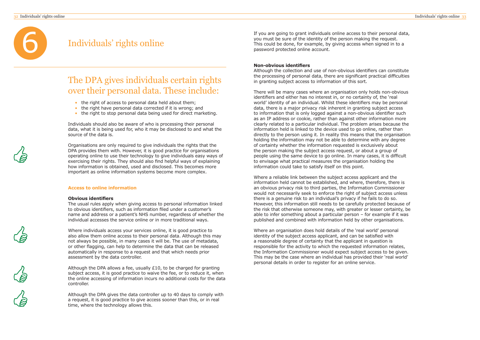

## Individuals' rights online

Individuals should also be aware of who is processing their personal data, what it is being used for, who it may be disclosed to and what the source of the data is.

Organisations are only required to give individuals the rights that the DPA provides them with. However, it is good practice for organisations operating online to use their technology to give individuals easy ways of exercising their rights. They should also find helpful ways of explaining how information is obtained, used and disclosed. This becomes more important as online information systems become more complex.

## **Access to online information**

## **Obvious identifiers**

The usual rules apply when giving access to personal information linked to obvious identifiers, such as information filed under a customer's name and address or a patient's NHS number, regardless of whether the individual accesses the service online or in more traditional ways.

Where individuals access your services online, it is good practice to also allow them online access to their personal data. Although this may not always be possible, in many cases it will be. The use of metadata, or other flagging, can help to determine the data that can be released automatically in response to a request and that which needs prior assessment by the data controller.

Although the DPA allows a fee, usually £10, to be charged for granting subject access, it is good practice to waive the fee, or to reduce it, when the online accessing of information incurs no additional costs for the data controller.

Although the DPA gives the data controller up to 40 days to comply with a request, it is good practice to give access sooner than this, or in real time, where the technology allows this.

## The DPA gives individuals certain rights over their personal data. These include:

- the right of access to personal data held about them;
- the right have personal data corrected if it is wrong; and
- the right to stop personal data being used for direct marketing.

If you are going to grant individuals online access to their personal data, you must be sure of the identity of the person making the request. This could be done, for example, by giving access when signed in to a password protected online account.

## **Non-obvious identifiers**

Although the collection and use of non-obvious identifiers can constitute the processing of personal data, there are significant practical difficulties in granting subject access to information of this sort.

There will be many cases where an organisation only holds non-obvious identifiers and either has no interest in, or no certainty of, the 'real world' identity of an individual. Whilst these identifiers may be personal data, there is a major privacy risk inherent in granting subject access to information that is only logged against a non-obvious identifier such as an IP address or cookie, rather than against other information more clearly related to a particular individual. The problem arises because the information held is linked to the device used to go online, rather than directly to the person using it. In reality this means that the organisation holding the information may not be able to determine with any degree of certainty whether the information requested is exclusively about the person making the subject access request, or about a group of people using the same device to go online. In many cases, it is difficult to envisage what practical measures the organisation holding the information could take to satisfy itself on this point.

Where a reliable link between the subject access applicant and the information held cannot be established, and where, therefore, there is an obvious privacy risk to third parties, the Information Commissioner would not necessarily seek to enforce the right of subject access unless there is a genuine risk to an individual's privacy if he fails to do so. However, this information still needs to be carefully protected because of the risk that otherwise someone may, with greater or lesser certainty, be able to infer something about a particular person – for example if it was published and combined with information held by other organisations.

Where an organisation does hold details of the 'real world' personal identity of the subject access applicant, and can be satisfied with a reasonable degree of certainty that the applicant in question is responsible for the activity to which the requested information relates, the Information Commissioner would expect subject access to be given. This may be the case where an individual has provided their 'real world' personal details in order to register for an online service.



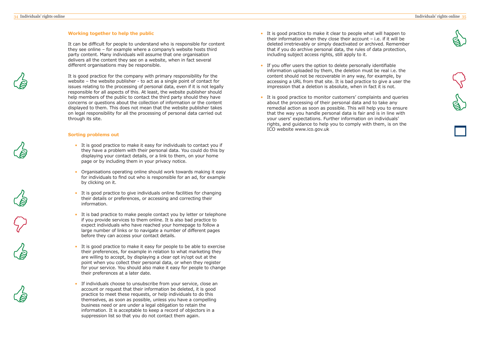





## **Working together to help the public**

It can be difficult for people to understand who is responsible for content they see online – for example where a company's website hosts third party content. Many individuals will assume that one organisation delivers all the content they see on a website, when in fact several different organisations may be responsible.

It is good practice for the company with primary responsibility for the website – the website publisher - to act as a single point of contact for issues relating to the processing of personal data, even if it is not legally responsible for all aspects of this. At least, the website publisher should help members of the public to contact the third party should they have concerns or questions about the collection of information or the content displayed to them. This does not mean that the website publisher takes on legal responsibility for all the processing of personal data carried out through its site.

## **Sorting problems out**

- It is good practice to make it easy for individuals to contact you if they have a problem with their personal data. You could do this by displaying your contact details, or a link to them, on your home page or by including them in your privacy notice.
- Organisations operating online should work towards making it easy for individuals to find out who is responsible for an ad, for example by clicking on it.
- It is good practice to give individuals online facilities for changing their details or preferences, or accessing and correcting their information.
- It is bad practice to make people contact you by letter or telephone if you provide services to them online. It is also bad practice to expect individuals who have reached your homepage to follow a large number of links or to navigate a number of different pages before they can access your contact details.
- It is good practice to make it easy for people to be able to exercise their preferences, for example in relation to what marketing they are willing to accept, by displaying a clear opt in/opt out at the point when you collect their personal data, or when they register for your service. You should also make it easy for people to change their preferences at a later date.
- • If individuals choose to unsubscribe from your service, close an account or request that their information be deleted, it is good practice to meet these requests, or help individuals to do this themselves, as soon as possible, unless you have a compelling business need or are under a legal obligation to retain the information. It is acceptable to keep a record of objectors in a suppression list so that you do not contact them again.
- It is good practice to make it clear to people what will happen to their information when they close their account – i.e. if it will be deleted irretrievably or simply deactivated or archived. Remember that if you do archive personal data, the rules of data protection, including subject access rights, still apply to it.
- If you offer users the option to delete personally identifiable information uploaded by them, the deletion must be real i.e. the content should not be recoverable in any way, for example, by accessing a URL from that site. It is bad practice to give a user the impression that a deletion is absolute, when in fact it is not.
- It is good practice to monitor customers' complaints and queries about the processing of their personal data and to take any remedial action as soon as possible. This will help you to ensure that the way you handle personal data is fair and is in line with your users' expectations. Further information on individuals' rights, and guidance to help you to comply with them, is on the ICO website www.ico.gov.uk









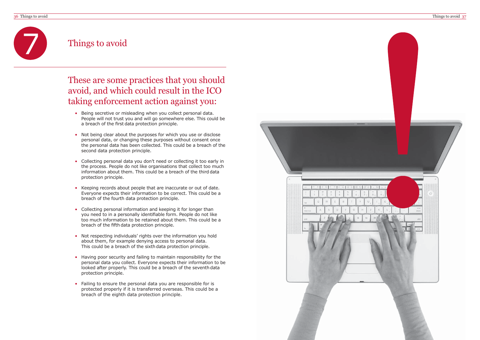## Things to avoid

7

- Being secretive or misleading when you collect personal data. People will not trust you and will go somewhere else. This could be a breach of the first data protection principle.
- Not being clear about the purposes for which you use or disclose personal data, or changing these purposes without consent once the personal data has been collected. This could be a breach of the second data protection principle.
- Collecting personal data you don't need or collecting it too early in the process. People do not like organisations that collect too much information about them. This could be a breach of the third data protection principle.
- • Keeping records about people that are inaccurate or out of date. Everyone expects their information to be correct. This could be a breach of the fourth data protection principle.
- • Collecting personal information and keeping it for longer than you need to in a personally identifiable form. People do not like too much information to be retained about them. This could be a breach of the fifth data protection principle.
- • Not respecting individuals' rights over the information you hold about them, for example denying access to personal data. This could be a breach of the sixth data protection principle.
- Having poor security and failing to maintain responsibility for the personal data you collect. Everyone expects their information to be looked after properly. This could be a breach of the seventh data protection principle.
- Failing to ensure the personal data you are responsible for is protected properly if it is transferred overseas. This could be a breach of the eighth data protection principle.



These are some practices that you should avoid, and which could result in the ICO taking enforcement action against you: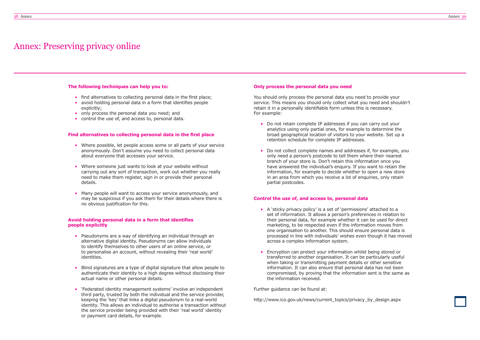## Annex: Preserving privacy online

### **The following techniques can help you to:**

- find alternatives to collecting personal data in the first place;
- avoid holding personal data in a form that identifies people explicitly;
- only process the personal data you need; and
- control the use of, and access to, personal data.

## **Find alternatives to collecting personal data in the first place**

- Where possible, let people access some or all parts of your service anonymously. Don't assume you need to collect personal data about everyone that accesses your service.
- Where someone just wants to look at your website without carrying out any sort of transaction, work out whether you really need to make them register, sign in or provide their personal details.
- Many people will want to access your service anonymously, and may be suspicious if you ask them for their details where there is no obvious justification for this.

### **Avoid holding personal data in a form that identifies people explicitly**

- Pseudonyms are a way of identifying an individual through an alternative digital identity. Pseudonyms can allow individuals to identify themselves to other users of an online service, or to personalise an account, without revealing their 'real world' identities.
- • Blind signatures are a type of digital signature that allow people to authenticate their identity to a high degree without disclosing their actual name or other personal details.
- 'Federated identity management systems' involve an independent third party, trusted by both the individual and the service provider, keeping the 'key' that links a digital pseudonym to a real-world identity. This allows an individual to authorise a transaction without the service provider being provided with their 'real world' identity or payment card details, for example.

### **Only process the personal data you need**

You should only process the personal data you need to provide your service. This means you should only collect what you need and shouldn't retain it in a personally identifiable form unless this is necessary. For example:

- Do not retain complete IP addresses if you can carry out your analytics using only partial ones, for example to determine the broad geographical location of visitors to your website. Set up a retention schedule for complete IP addresses.
- • Do not collect complete names and addresses if, for example, you only need a person's postcode to tell them where their nearest branch of your store is. Don't retain this information once you have answered the individual's enquiry. If you want to retain the information, for example to decide whether to open a new store in an area from which you receive a lot of enquiries, only retain partial postcodes.

## **Control the use of, and access to, personal data**

- A 'sticky privacy policy' is a set of 'permissions' attached to a set of information. It allows a person's preferences in relation to their personal data, for example whether it can be used for direct marketing, to be respected even if the information moves from one organisation to another. This should ensure personal data is processed in line with individuals' wishes even though it has moved across a complex information system.
- Encryption can protect your information whilst being stored or transferred to another organisation. It can be particularly useful when taking or transmitting payment details or other sensitive information. It can also ensure that personal data has not been compromised, by proving that the information sent is the same as the information received.

Further guidance can be found at:

http://www.ico.gov.uk/news/current\_topics/privacy\_by\_design.aspx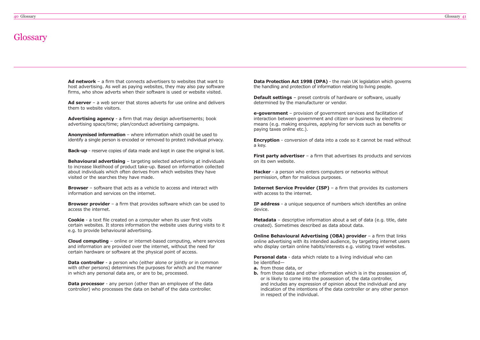## **Glossary**

**Ad network** – a firm that connects advertisers to websites that want to host advertising. As well as paying websites, they may also pay software firms, who show adverts when their software is used or website visited.

**Ad server** – a web server that stores adverts for use online and delivers them to website visitors.

**Advertising agency** - a firm that may design advertisements; book advertising space/time; plan/conduct advertising campaigns.

**Anonymised information** – where information which could be used to identify a single person is encoded or removed to protect individual privacy.

**Back-up** - reserve copies of data made and kept in case the original is lost.

**Behavioural advertising** – targeting selected advertising at individuals to increase likelihood of product take-up. Based on information collected about individuals which often derives from which websites they have visited or the searches they have made.

**Data controller** - a person who (either alone or jointly or in common with other persons) determines the purposes for which and the manner in which any personal data are, or are to be, processed.

**Data processor** - any person (other than an employee of the data controller) who processes the data on behalf of the data controller.

**Browser** – software that acts as a vehicle to access and interact with information and services on the internet.

**Data Protection Act 1998 (DPA)** - the main UK legislation which governs the handling and protection of information relating to living people.

**Browser provider** – a firm that provides software which can be used to access the internet.

**Encryption** - conversion of data into a code so it cannot be read without a key.

**Cookie** - a text file created on a computer when its user first visits certain websites. It stores information the website uses during visits to it e.g. to provide behavioural advertising.

**First party advertiser** – a firm that advertises its products and services on its own website.

**Internet Service Provider (ISP)** – a firm that provides its customers with access to the internet.

**Cloud computing** – online or internet-based computing, where services and information are provided over the internet, without the need for certain hardware or software at the physical point of access.

**Online Behavioural Advertising (OBA) provider** - a firm that links online advertising with its intended audience, by targeting internet users who display certain online habits/interests e.g. visiting travel websites.

**Personal data** - data which relate to a living individual who can be identified—

**Default settings** – preset controls of hardware or software, usually determined by the manufacturer or vendor.

**e-government** – provision of government services and facilitation of interaction between government and citizen or business by electronic means (e.g. making enquires, applying for services such as benefits or paying taxes online etc.).

**Hacker** - a person who enters computers or networks without permission, often for malicious purposes.

**IP address** - a unique sequence of numbers which identifies an online device.

**Metadata** – descriptive information about a set of data (e.g. title, date created). Sometimes described as data about data.

- **a.** from those data, or
- **b.** from those data and other information which is in the possession of, or is likely to come into the possession of, the data controller, and includes any expression of opinion about the individual and any indication of the intentions of the data controller or any other person in respect of the individual.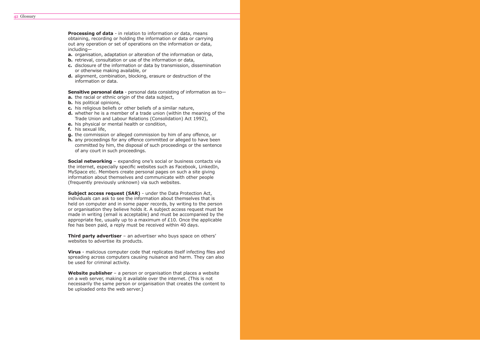**Processing of data** - in relation to information or data, means obtaining, recording or holding the information or data or carrying out any operation or set of operations on the information or data, including—

**a.** organisation, adaptation or alteration of the information or data,

- **b.** retrieval, consultation or use of the information or data,
- **c.** disclosure of the information or data by transmission, dissemination or otherwise making available, or
- **d.** alignment, combination, blocking, erasure or destruction of the information or data.

**Sensitive personal data** - personal data consisting of information as to—

**Social networking** – expanding one's social or business contacts via the internet, especially specific websites such as Facebook, LinkedIn, MySpace etc. Members create personal pages on such a site giving information about themselves and communicate with other people (frequently previously unknown) via such websites.

- **a.** the racial or ethnic origin of the data subject,
- **b.** his political opinions,
- **c.** his religious beliefs or other beliefs of a similar nature,
- **d.** whether he is a member of a trade union (within the meaning of the Trade Union and Labour Relations (Consolidation) Act 1992),
- **e.** his physical or mental health or condition,
- **f.** his sexual life,
- **g.** the commission or alleged commission by him of any offence, or
- **h.** any proceedings for any offence committed or alleged to have been committed by him, the disposal of such proceedings or the sentence of any court in such proceedings.

**Subject access request (SAR)** - under the Data Protection Act, individuals can ask to see the information about themselves that is held on computer and in some paper records, by writing to the person or organisation they believe holds it. A subject access request must be made in writing (email is acceptable) and must be accompanied by the appropriate fee, usually up to a maximum of £10. Once the applicable fee has been paid, a reply must be received within 40 days.

**Third party advertiser** – an advertiser who buys space on others' websites to advertise its products.

Website publisher - a person or organisation that places a website on a web server, making it available over the internet. (This is not necessarily the same person or organisation that creates the content to be uploaded onto the web server.)

**Virus** - malicious computer code that replicates itself infecting files and spreading across computers causing nuisance and harm. They can also be used for criminal activity.